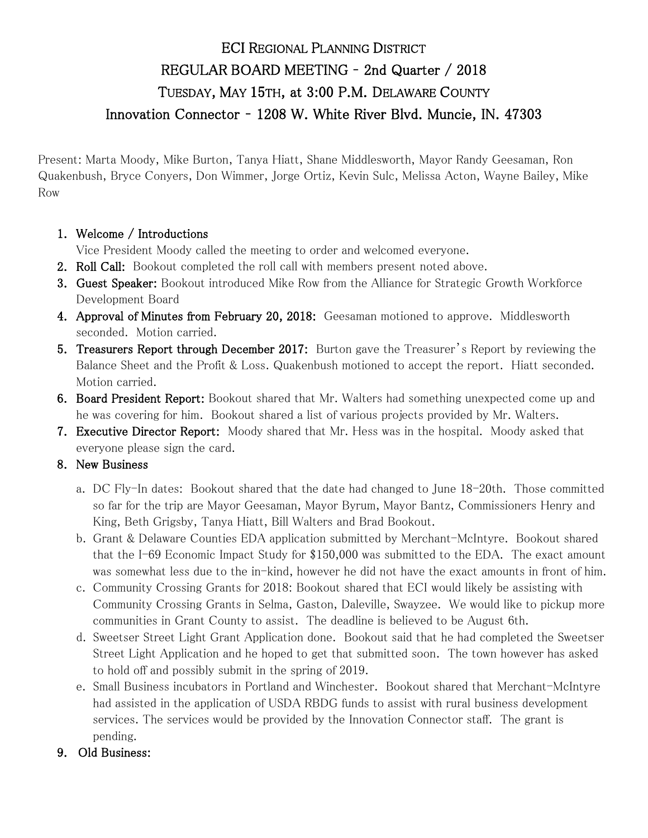## ECI REGIONAL PLANNING DISTRICT REGULAR BOARD MEETING – 2nd Quarter / 2018 TUESDAY, MAY 15TH, at 3:00 P.M. DELAWARE COUNTY Innovation Connector – 1208 W. White River Blvd. Muncie, IN. 47303

Present: Marta Moody, Mike Burton, Tanya Hiatt, Shane Middlesworth, Mayor Randy Geesaman, Ron Quakenbush, Bryce Conyers, Don Wimmer, Jorge Ortiz, Kevin Sulc, Melissa Acton, Wayne Bailey, Mike Row

## 1. Welcome / Introductions

Vice President Moody called the meeting to order and welcomed everyone.

- 2. Roll Call: Bookout completed the roll call with members present noted above.
- **3. Guest Speaker:** Bookout introduced Mike Row from the Alliance for Strategic Growth Workforce Development Board
- 4. Approval of Minutes from February 20, 2018: Geesaman motioned to approve. Middlesworth seconded. Motion carried.
- 5. Treasurers Report through December 2017: Burton gave the Treasurer's Report by reviewing the Balance Sheet and the Profit & Loss. Quakenbush motioned to accept the report. Hiatt seconded. Motion carried.
- 6. Board President Report: Bookout shared that Mr. Walters had something unexpected come up and he was covering for him. Bookout shared a list of various projects provided by Mr. Walters.
- 7. Executive Director Report: Moody shared that Mr. Hess was in the hospital. Moody asked that everyone please sign the card.

## 8. New Business

- a. DC Fly-In dates: Bookout shared that the date had changed to June 18-20th. Those committed so far for the trip are Mayor Geesaman, Mayor Byrum, Mayor Bantz, Commissioners Henry and King, Beth Grigsby, Tanya Hiatt, Bill Walters and Brad Bookout.
- b. Grant & Delaware Counties EDA application submitted by Merchant-McIntyre. Bookout shared that the I-69 Economic Impact Study for \$150,000 was submitted to the EDA. The exact amount was somewhat less due to the in-kind, however he did not have the exact amounts in front of him.
- c. Community Crossing Grants for 2018: Bookout shared that ECI would likely be assisting with Community Crossing Grants in Selma, Gaston, Daleville, Swayzee. We would like to pickup more communities in Grant County to assist. The deadline is believed to be August 6th.
- d. Sweetser Street Light Grant Application done. Bookout said that he had completed the Sweetser Street Light Application and he hoped to get that submitted soon. The town however has asked to hold off and possibly submit in the spring of 2019.
- e. Small Business incubators in Portland and Winchester. Bookout shared that Merchant-McIntyre had assisted in the application of USDA RBDG funds to assist with rural business development services. The services would be provided by the Innovation Connector staff. The grant is pending.
- 9. Old Business: